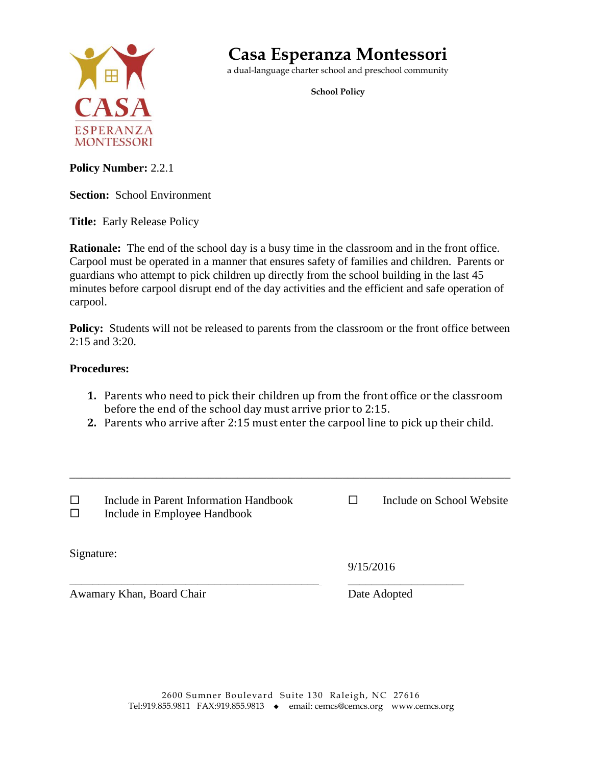

## **Casa Esperanza Montessori**

a dual-language charter school and preschool community

**School Policy**

**Policy Number:** 2.2.1

**Section:** School Environment

**Title:** Early Release Policy

**Rationale:** The end of the school day is a busy time in the classroom and in the front office. Carpool must be operated in a manner that ensures safety of families and children. Parents or guardians who attempt to pick children up directly from the school building in the last 45 minutes before carpool disrupt end of the day activities and the efficient and safe operation of carpool.

**Policy:** Students will not be released to parents from the classroom or the front office between 2:15 and 3:20.

## **Procedures:**

- **1.** Parents who need to pick their children up from the front office or the classroom before the end of the school day must arrive prior to 2:15.
- **2.** Parents who arrive after 2:15 must enter the carpool line to pick up their child.

\_\_\_\_\_\_\_\_\_\_\_\_\_\_\_\_\_\_\_\_\_\_\_\_\_\_\_\_\_\_\_\_\_\_\_\_\_\_\_\_\_\_\_\_\_\_\_\_\_\_\_\_\_\_\_\_\_\_\_\_\_\_\_\_\_\_\_\_\_\_\_\_\_\_\_\_

\_\_\_\_\_\_\_\_\_\_\_\_\_\_\_\_\_\_\_\_\_\_\_\_\_\_\_\_\_\_\_\_\_\_\_\_\_\_\_\_\_\_\_ \_\_\_\_\_\_\_\_\_\_\_\_\_\_\_\_\_\_\_\_

 $\Box$  Include in Parent Information Handbook  $\Box$  Include on School Website  $\Box$  Include in Employee Handbook

Signature:

9/15/2016

Awamary Khan, Board Chair Date Adopted